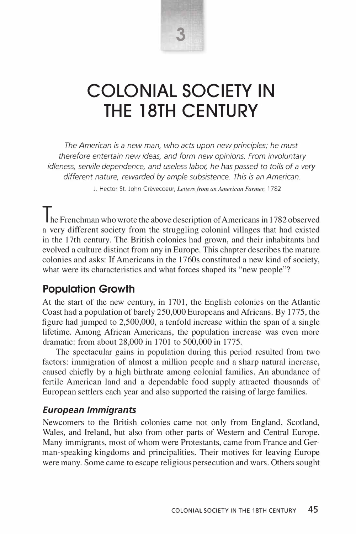

# **COLONIAL SOCIETY IN THE 18TH CENTURY**

*The American is a new man, who acts upon new principles; he must therefore entertain new ideas, and form new opinions. From involuntary idleness, servile dependence, and useless labor, he has passed to toils of a very different nature, rewarded by ample subsistence. This is an American.* 

J. Hector St. John Crevecoeur, *Letters from an American Farmer,* 1782

I he Frenchman who wrote the above description of Americans in 1782 observed a very different society from the struggling colonial villages that had existed in the 17th century. The British colonies had grown, and their inhabitants had evolved a culture distinct from any in Europe. This chapter describes the mature colonies and asks: If Americans in the 1760s constituted a new kind of society, what were its characteristics and what forces shaped its "new people"?

# **Population Growth**

At the start of the new century, in 1701, the English colonies on the Atlantic Coast had a population of barely 250,000 Europeans and Africans. By 1775, the figure had jumped to 2,500,000, a tenfold increase within the span of a single lifetime. Among African Americans, the population increase was even more dramatic: from about 28,000 in 1701 to 500,000 in 1775.

The spectacular gains in population during this period resulted from two factors: immigration of almost a million people and a sharp natural increase, caused chiefly by a high birthrate among colonial families. An abundance of fertile American land and a dependable food supply attracted thousands of European settlers each year and also supported the raising of large families.

#### *European Immigrants*

Newcomers to the British colonies came not only from England, Scotland, Wales, and Ireland, but also from other parts of Western and Central Europe. Many immigrants, most of whom were Protestants, came from France and German-speaking kingdoms and principalities. Their motives for leaving Europe were many. Some came to escape religious persecution and wars. Others sought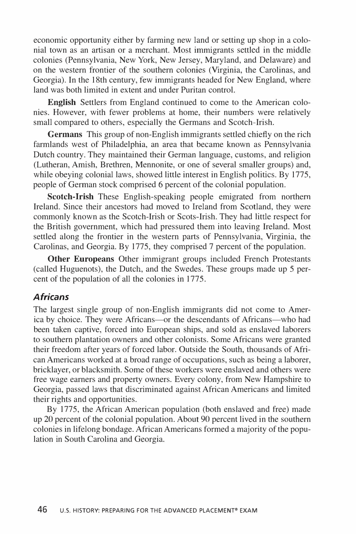economic opportunity either by farming new land or setting up shop in a colonial town as an artisan or a merchant. Most immigrants settled in the middle colonies (Pennsylvania, New York, New Jersey, Maryland, and Delaware) and on the western frontier of the southern colonies (Virginia, the Carolinas, and Georgia). In the 18th century, few immigrants headed for New England, where land was both limited in extent and under Puritan control.

**English** Settlers from England continued to come to the American colonies. However, with fewer problems at home, their numbers were relatively small compared to others, especially the Germans and Scotch-Irish.

**Germans** This group of non-English immigrants settled chiefly on the rich farmlands west of Philadelphia, an area that became known as Pennsylvania Dutch country. They maintained their German language, customs, and religion (Lutheran, Amish, Brethren, Mennonite, or one of several smaller groups) and, while obeying colonial laws, showed little interest in English politics. By 1775, people of German stock comprised 6 percent of the colonial population.

**Scotch-Irish** These English-speaking people emigrated from northern Ireland. Since their ancestors had moved to Ireland from Scotland, they were commonly known as the Scotch-Irish or Scots-Irish. They had little respect for the British government, which had pressured them into leaving Ireland. Most settled along the frontier in the western parts of Pennsylvania, Virginia, the Carolinas, and Georgia. By 1775, they comprised 7 percent of the population.

**Other Europeans** Other immigrant groups included French Protestants (called Huguenots), the Dutch, and the Swedes. These groups made up 5 percent of the population of all the colonies in 1775.

#### *Africans*

The largest single group of non-English immigrants did not come to America by choice. They were Africans—or the descendants of Africans—who had been taken captive, forced into European ships, and sold as enslaved laborers to southern plantation owners and other colonists. Some Africans were granted their freedom after years of forced labor. Outside the South, thousands of African Americans worked at a broad range of occupations, such as being a laborer, bricklayer, or blacksmith. Some of these workers were enslaved and others were free wage earners and property owners. Every colony, from New Hampshire to Georgia, passed laws that discriminated against African Americans and limited their rights and opportunities.

By 1775, the African American population (both enslaved and free) made up 20 percent of the colonial population. About 90 percent lived in the southern colonies in lifelong bondage. African Americans formed a majority of the population in South Carolina and Georgia.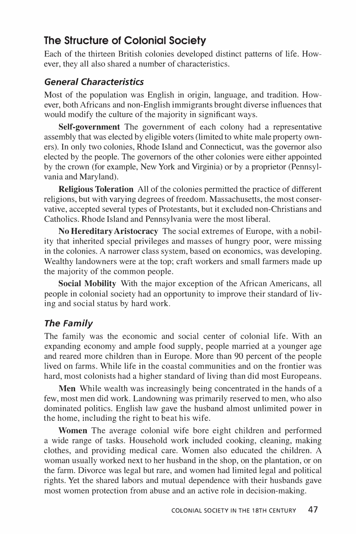# **The Structure of Colonial Society**

Each of the thirteen British colonies developed distinct patterns of life. However, they all also shared a number of characteristics.

### *General Characteristics*

Most of the population was English in origin, language, and tradition. However, both Africans and non-English immigrants brought diverse influences that would modify the culture of the majority in significant ways.

**Self-government** The government of each colony had a representative assembly that was elected by eligible voters (limited to white male property owners). In only two colonies, Rhode Island and Connecticut, was the governor also elected by the people. The governors of the other colonies were either appointed by the crown (for example, New York and Virginia) or by a proprietor (Pennsylvania and Maryland).

**Religious Toleration** All of the colonies permitted the practice of different religions, but with varying degrees of freedom. Massachusetts, the most conservative, accepted several types of Protestants, but it excluded non-Christians and Catholics. Rhode Island and Pennsylvania were the most liberal.

**No Hereditary Aristocracy** The social extremes of Europe, with a nobility that inherited special privileges and masses of hungry poor, were missing in the colonies. A narrower class system, based on economics, was developing. Wealthy landowners were at the top; craft workers and small farmers made up the majority of the common people.

**Social Mobility** With the major exception of the African Americans, all people in colonial society had an opportunity to improve their standard of living and social status by hard work.

# *The Family*

The family was the economic and social center of colonial life. With an expanding economy and ample food supply, people married at a younger age and reared more children than in Europe. More than 90 percent of the people lived on farms. While life in the coastal communities and on the frontier was hard, most colonists had a higher standard of living than did most Europeans.

**Men** While wealth was increasingly being concentrated in the hands of a few, most men did work. Landowning was primarily reserved to men, who also dominated politics. English law gave the husband almost unlimited power in the home, including the right to beat his wife.

**Women** The average colonial wife bore eight children and performed a wide range of tasks. Household work included cooking, cleaning, making clothes, and providing medical care. Women also educated the children. A woman usually worked next to her husband in the shop, on the plantation, or on the farm. Divorce was legal but rare, and women had limited legal and political rights. Yet the shared labors and mutual dependence with their husbands gave most women protection from abuse and an active role in decision-making.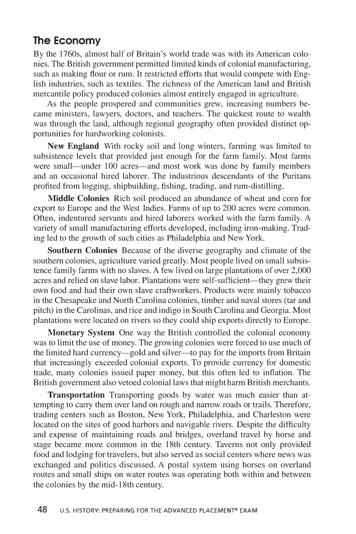# **The Economy**

By the 1760s, almost half of Britain's world trade was with its American colonies. The British government permitted limited kinds of colonial manufacturing, such as making flour or rum. It restricted efforts that would compete with English industries, such as textiles. The richness of the American land and British mercantile policy produced colonies almost entirely engaged in agriculture.

As the people prospered and communities grew, increasing numbers became ministers, lawyers, doctors, and teachers. The quickest route to wealth was through the land, although regional geography often provided distinct opportunities for hardworking colonists.

**New England** With rocky soil and long winters, farming was limited to subsistence levels that provided just enough for the farm family. Most farms were small—under 100 acres—and most work was done by family members and an occasional hired laborer. The industrious descendants of the Puritans profited from logging, shipbuilding, fishing, trading, and rum-distilling.

**Middle Colonies** Rich soil produced an abundance of wheat and corn for export to Europe and the West Indies. Farms of up to 200 acres were common. Often, indentured servants and hired laborers worked with the farm family. A variety of small manufacturing efforts developed, including iron-making. Trading led to the growth of such cities as Philadelphia and New York.

**Southern Colonies** Because of the diverse geography and climate of the southern colonies, agriculture varied greatly. Most people lived on small subsistence family farms with no slaves. A few lived on large plantations of over 2,000 acres and relied on slave labor. Plantations were self-sufficient—they grew their own food and had their own slave craftworkers. Products were mainly tobacco in the Chesapeake and North Carolina colonies, timber and naval stores (tar and pitch) in the Carolinas, and rice and indigo in South Carolina and Georgia. Most plantations were located on rivers so they could ship exports directly to Europe.

**Monetary System** One way the British controlled the colonial economy was to limit the use of money. The growing colonies were forced to use much of the limited hard currency—gold and silver—to pay for the imports from Britain that increasingly exceeded colonial exports. To provide currency for domestic trade, many colonies issued paper money, but this often led to inflation. The British government also vetoed colonial laws that might harm British merchants.

**Transportation** Transporting goods by water was much easier than attempting to carry them over land on rough and narrow roads or trails. Therefore, trading centers such as Boston, New York, Philadelphia, and Charleston were located on the sites of good harbors and navigable rivers. Despite the difficulty and expense of maintaining roads and bridges, overland travel by horse and stage became more common in the 18th century. Taverns not only provided food and lodging for travelers, but also served as social centers where news was exchanged and politics discussed. A postal system using horses on overland routes and small ships on water routes was operating both within and between the colonies by the mid-18th century.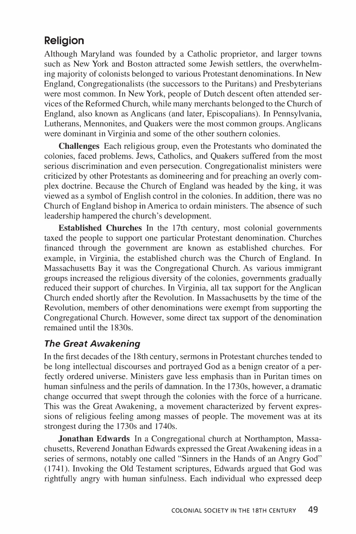# **Religion**

Although Maryland was founded by a Catholic proprietor, and larger towns such as New York and Boston attracted some Jewish settlers, the overwhelming majority of colonists belonged to various Protestant denominations. In New England, Congregationalists (the successors to the Puritans) and Presbyterians were most common. In New York, people of Dutch descent often attended services of the Reformed Church, while many merchants belonged to the Church of England, also known as Anglicans (and later, Episcopalians). In Pennsylvania, Lutherans, Mennonites, and Quakers were the most common groups. Anglicans were dominant in Virginia and some of the other southern colonies.

**Challenges** Each religious group, even the Protestants who dominated the colonies, faced problems. Jews, Catholics, and Quakers suffered from the most serious discrimination and even persecution. Congregationalist ministers were criticized by other Protestants as domineering and for preaching an overly complex doctrine. Because the Church of England was headed by the king, it was viewed as a symbol of English control in the colonies. In addition, there was no Church of England bishop in America to ordain ministers. The absence of such leadership hampered the church's development.

**Established Churches** In the 17th century, most colonial governments taxed the people to support one particular Protestant denomination. Churches financed through the government are known as established churches. For example, in Virginia, the established church was the Church of England. In Massachusetts Bay it was the Congregational Church. As various immigrant groups increased the religious diversity of the colonies, governments gradually reduced their support of churches. In Virginia, all tax support for the Anglican Church ended shortly after the Revolution. In Massachusetts by the time of the Revolution, members of other denominations were exempt from supporting the Congregational Church. However, some direct tax support of the denomination remained until the 1830s.

#### *The Great Awakening*

In the first decades of the 18th century, sermons in Protestant churches tended to be long intellectual discourses and portrayed God as a benign creator of a perfectly ordered universe. Ministers gave less emphasis than in Puritan times on human sinfulness and the perils of damnation. In the 1730s, however, a dramatic change occurred that swept through the colonies with the force of a hurricane. This was the Great Awakening, a movement characterized by fervent expressions of religious feeling among masses of people. The movement was at its strongest during the 1730s and 1740s.

**Jonathan Edwards** In a Congregational church at Northampton, Massachusetts, Reverend Jonathan Edwards expressed the Great Awakening ideas in a series of sermons, notably one called "Sinners in the Hands of an Angry God" (1741). Invoking the Old Testament scriptures, Edwards argued that God was rightfully angry with human sinfulness. Each individual who expressed deep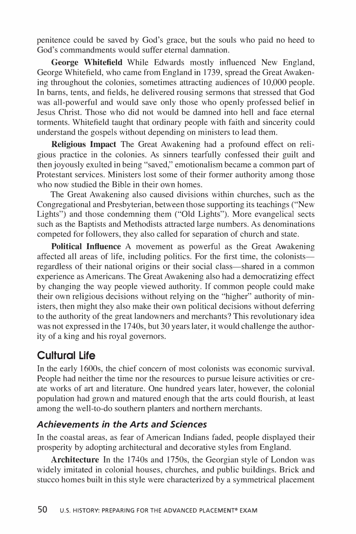penitence could be saved by God's grace, but the souls who paid no heed to God's commandments would suffer eternal damnation.

**George Whitefield** While Edwards mostly influenced New England, George Whitefield, who came from England **in** 1739, spread the Great Awakening throughout the colonies, sometimes attracting audiences of 10,000 people. In barns, tents, and fields, he delivered rousing sermons that stressed that God was all-powerful and would save only those who openly professed belief **in**  Jesus Christ. Those who did not would be damned into hell and face eternal torments. Whitefield taught that ordinary people with faith and sincerity could understand the gospels without depending on ministers to lead them.

**Religious Impact** The Great Awakening had a profound effect on religious practice in the colonies. As sinners tearfully confessed their guilt and then joyously exulted in being "saved," emotionalism became a common part of Protestant services. Ministers lost some of their former authority among those who now studied the Bible in their own homes.

The Great Awakening also caused divisions within churches, such as the Congregational and Presbyterian, between those supporting its teachings ("New Lights") and those condemning them ("Old Lights"). More evangelical sects such as the Baptists and Methodists attracted large numbers. As denominations competed for followers, they also called for separation of church and state.

**Political Influence** A movement as powerful as the Great Awakening affected all areas of life, including politics. For the first time, the colonistsregardless of their national origins or their social class—shared in a common experience as Americans. The Great Awakening also had a democratizing effect by changing the way people viewed authority. If common people could make their own religious decisions without relying on the "higher" authority of ministers, then might they also make their own political decisions without deferring to the authority of the great landowners and merchants? This revolutionary idea was not expressed in the 1740s, but 30 years later, it would challenge the authority of a king and his royal governors.

# **Cultural Life**

In the early 1600s, the chief concern of most colonists was economic survival. People had neither the time nor the resources to pursue leisure activities or create works of art and literature. One hundred years later, however, the colonial population had grown and matured enough that the arts could flourish, at least among the well-to-do southern planters and northern merchants.

#### *Achievements in the Arts and Sciences*

In the coastal areas, as fear of American Indians faded, people displayed their prosperity by adopting architectural and decorative styles from England.

**Architecture** In the 1740s and 1750s, the Georgian style of London was widely imitated in colonial houses, churches, and public buildings. Brick and stucco homes built in this style were characterized by a symmetrical placement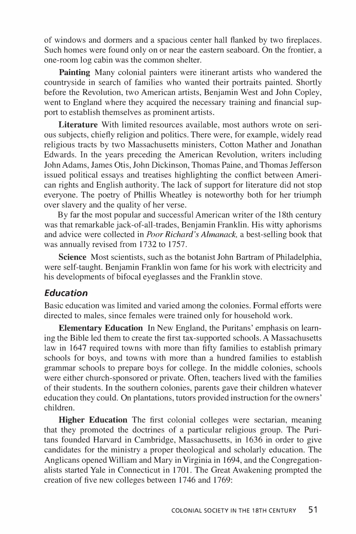of windows and dormers and a spacious center hall flanked by two fireplaces. Such homes were found only on or near the eastern seaboard. On the frontier, a one-room log cabin was the common shelter.

**Painting** Many colonial painters were itinerant artists who wandered the countryside in search of families who wanted their portraits painted. Shortly before the Revolution, two American artists, Benjamin West and John Copley, went to England where they acquired the necessary training and financial support to establish themselves as prominent artists.

**Literature** With limited resources available, most authors wrote on serious subjects, chiefly religion and politics. There were, for example, widely read religious tracts by two Massachusetts ministers, Cotton Mather and Jonathan Edwards. In the years preceding the American Revolution, writers including John Adams, James Otis, John Dickinson, Thomas Paine, and Thomas Jefferson issued political essays and treatises highlighting the conflict between American rights and English authority. The lack of support for literature did not stop everyone. The poetry of Phillis Wheatley is noteworthy both for her triumph over slavery and the quality of her verse.

By far the most popular and successful American writer of the 18th century was that remarkable jack-of-all-trades, Benjamin Franklin. His witty aphorisms and advice were collected in *Poor Richard's Almanack,* a best-selling book that was annually revised from 1732 to 1757.

**Science** Most scientists, such as the botanist John Bartram of Philadelphia, were self-taught. Benjamin Franklin won fame for his work with electricity and his developments of bifocal eyeglasses and the Franklin stove.

#### *Education*

Basic education was limited and varied among the colonies. Formal efforts were directed to males, since females were trained only for household work.

**Elementary Education** In New England, the Puritans' emphasis on learning the Bible led them to create the first tax-supported schools. A Massachusetts law in 1647 required towns with more than fifty families to establish primary schools for boys, and towns with more than a hundred families to establish grammar schools to prepare boys for college. In the middle colonies, schools were either church-sponsored or private. Often, teachers lived with the families of their students. In the southern colonies, parents gave their children whatever education they could. On plantations, tutors provided instruction for the owners' children.

**Higher Education** The first colonial colleges were sectarian, meaning that they promoted the doctrines of a particular religious group. The Puritans founded Harvard in Cambridge, Massachusetts, in 1636 in order to give candidates for the ministry a proper theological and scholarly education. The Anglicans opened William and Mary in Virginia in 1694, and the Congregationalists started Yale in Connecticut in 1701. The Great Awakening prompted the creation of five new colleges between 1746 and 1769: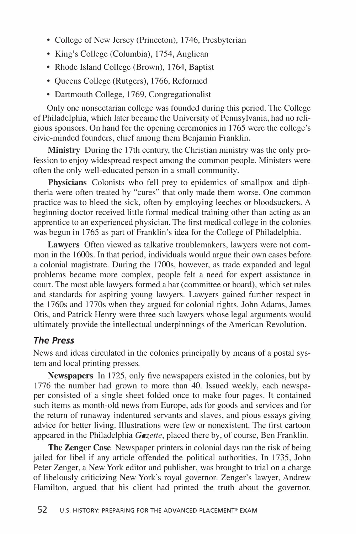- College of New Jersey (Princeton), 1746, Presbyterian
- King's College (Columbia), 1754, Anglican
- Rhode Island College (Brown), 1764, Baptist
- Queens College (Rutgers), 1766, Reformed
- Dartmouth College, 1769, Congregationalist

Only one nonsectarian college was founded during this period. The College of Philadelphia, which later became the University of Pennsylvania, had no religious sponsors. On hand for the opening ceremonies in 1765 were the college's civic-minded founders, chief among them Benjamin Franklin.

**Ministry** During the 17th century, the Christian ministry was the only profession to enjoy widespread respect among the common people. Ministers were often the only well-educated person in a small community.

**Physicians** Colonists who fell prey to epidemics of smallpox and diphtheria were often treated by "cures" that only made them worse. One common practice was to bleed the sick, often by employing leeches or bloodsuckers. A beginning doctor received little formal medical training other than acting as an apprentice to an experienced physician. The first medical college in the colonies was begun in 1765 as part of Franklin's idea for the College of Philadelphia.

**Lawyers** Often viewed as talkative troublemakers, lawyers were not common in the 1600s. In that period, individuals would argue their own cases before a colonial magistrate. During the 1700s, however, as trade expanded and legal problems became more complex, people felt a need for expert assistance in court. The most able lawyers formed a bar ( committee or board), which set rules and standards for aspiring young lawyers. Lawyers gained further respect in the 1760s and 1770s when they argued for colonial rights. John Adams, James Otis, and Patrick Henry were three such lawyers whose legal arguments would ultimately provide the intellectual underpinnings of the American Revolution.

# *The Press*

News and ideas circulated in the colonies principally by means of a postal system and local printing presses.

**Newspapers** In 1725, only five newspapers existed in the colonies, but by 1776 the number had grown to more than 40. Issued weekly, each newspaper consisted of a single sheet folded once to make four pages. It contained such items as month-old news from Europe, ads for goods and services and for the return of runaway indentured servants and slaves, and pious essays giving advice for better living. Illustrations were few or nonexistent. The first cartoon appeared in the Philadelphia *Gazette,* placed there by, of course, Ben Franklin.

**The Zenger Case** Newspaper printers in colonial days ran the risk of being jailed for libel if any article offended the political authorities. In 1735, John Peter Zenger, a New York editor and publisher, was brought to trial on a charge of libelously criticizing New York's royal governor. Zenger's lawyer, Andrew Hamilton, argued that his client had printed the truth about the governor.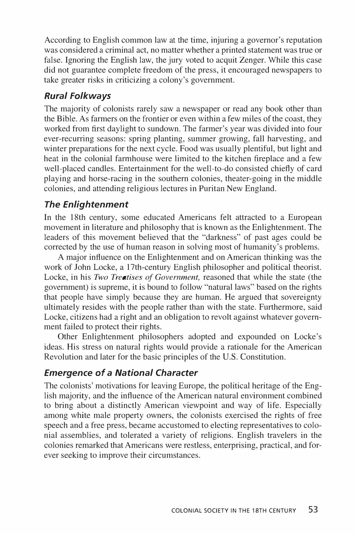According to English common law at the time, injuring a governor's reputation was considered a criminal act, no matter whether a printed statement was true or false. Ignoring the English law, the jury voted to acquit Zenger. While this case did not guarantee complete freedom of the press, it encouraged newspapers to take greater risks in criticizing a colony's government.

## *Rural Folkways*

The majority of colonists rarely saw a newspaper or read any book other than the Bible. As farmers on the frontier or even within a few miles of the coast, they worked from first daylight to sundown. The farmer's year was divided into four ever-recurring seasons: spring planting, summer growing, fall harvesting, and winter preparations for the next cycle. Food was usually plentiful, but light and heat in the colonial farmhouse were limited to the kitchen fireplace and a few well-placed candles. Entertainment for the well-to-do consisted chiefly of card playing and horse-racing in the southern colonies, theater-going in the middle colonies, and attending religious lectures in Puritan New England.

## *The Enlightenment*

In the 18th century, some educated Americans felt attracted to a European movement in literature and philosophy that is known as the Enlightenment. The leaders of this movement believed that the "darkness" of past ages could be corrected by the use of human reason in solving most of humanity's problems.

A major influence on the Enlightenment and on American thinking was the work of John Locke, a 17th-century English philosopher and political theorist. Locke, in his *Two Treatises of Government,* reasoned that while the state (the government) is supreme, it is bound to follow "natural laws" based on the rights that people have simply because they are human. He argued that sovereignty ultimately resides with the people rather than with the state. Furthermore, said Locke, citizens had a right and an obligation to revolt against whatever government failed to protect their rights.

Other Enlightenment philosophers adopted and expounded on Locke's ideas. His stress on natural rights would provide a rationale for the American Revolution and later for the basic principles of the U.S. Constitution.

## *Emergence of a National Character*

The colonists' motivations for leaving Europe, the political heritage of the English majority, and the influence of the American natural environment combined to bring about a distinctly American viewpoint and way of life. Especially among white male property owners, the colonists exercised the rights of free speech and a free press, became accustomed to electing representatives to colonial assemblies, and tolerated a variety of religions. English travelers in the colonies remarked that Americans were restless, enterprising, practical, and forever seeking to improve their circumstances.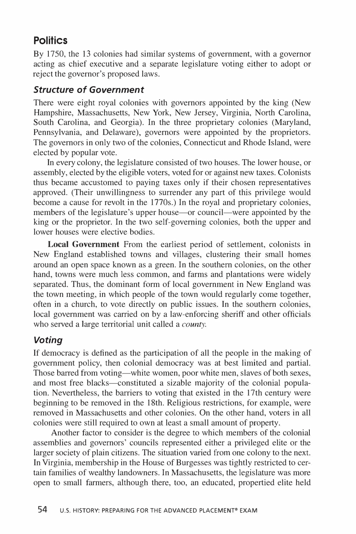# **Politics**

By 1750, the 13 colonies had similar systems of government, with a governor acting as chief executive and a separate legislature voting either to adopt or reject the governor's proposed laws.

#### *Structure of Government*

There were eight royal colonies with governors appointed by the king (New Hampshire, Massachusetts, New York, New Jersey, Virginia, North Carolina, South Carolina, and Georgia). In the three proprietary colonies (Maryland, Pennsylvania, and Delaware), governors were appointed by the proprietors. The governors in only two of the colonies, Connecticut and Rhode Island, were elected by popular vote.

In every colony, the legislature consisted of two houses. The lower house, or assembly, elected by the eligible voters, voted for or against new taxes. Colonists thus became accustomed to paying taxes only if their chosen representatives approved. (Their unwillingness to surrender any part of this privilege would become a cause for revolt in the 1770s.) In the royal and proprietary colonies, members of the legislature's upper house—or council—were appointed by the king or the proprietor. In the two self-governing colonies, both the upper and lower houses were elective bodies.

**Local Government** From the earliest period of settlement, colonists in New England established towns and villages, clustering their small homes around an open space known as a green. In the southern colonies, on the other hand, towns were much less common, and farms and plantations were widely separated. Thus, the dominant form of local government in New England was the town meeting, in which people of the town would regularly come together, often in a church, to vote directly on public issues. In the southern colonies, local government was carried on by a law-enforcing sheriff and other officials who served a large territorial unit called a *county.*

## *Voting*

If democracy is defined as the participation of all the people in the making of government policy, then colonial democracy was at best limited and partial. Those barred from voting—white women, poor white men, slaves of both sexes, and most free blacks—constituted a sizable majority of the colonial population. Nevertheless, the barriers to voting that existed in the 17th century were beginning to be removed in the 18th. Religious restrictions, for example, were removed in Massachusetts and other colonies. On the other hand, voters in all colonies were still required to own at least a small amount of property.

Another factor to consider is the degree to which members of the colonial assemblies and governors' councils represented either a privileged elite or the larger society of plain citizens. The situation varied from one colony to the next. In Virginia, membership in the House of Burgesses was tightly restricted to certain families of wealthy landowners. In Massachusetts, the legislature was more open to small farmers, although there, too, an educated, propertied elite held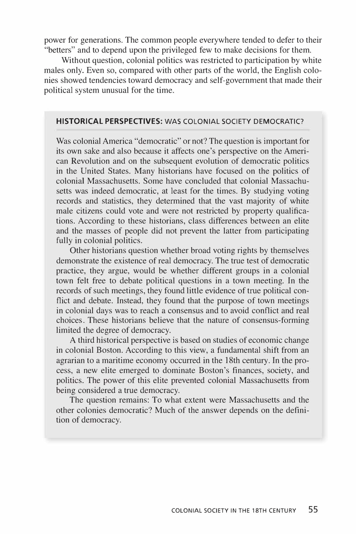power for generations. The common people everywhere tended to defer to their "betters" and to depend upon the privileged few to make decisions for them.

Without question, colonial politics was restricted to participation by white males only. Even so, compared with other parts of the world, the English colonies showed tendencies toward democracy and self-government that made their political system unusual for the time.

#### **HISTORICAL PERSPECTIVES:** WAS COLONIAL SOCIETY DEMOCRATIC?

Was colonial America "democratic" or not? The question is important for its own sake and also because it affects one's perspective on the American Revolution and on the subsequent evolution of democratic politics in the United States. Many historians have focused on the politics of colonial Massachusetts. Some have concluded that colonial Massachusetts was indeed democratic, at least for the times. By studying voting records and statistics, they determined that the vast majority of white male citizens could vote and were not restricted by property qualifications. According to these historians, class differences between an elite and the masses of people did not prevent the latter from participating fully in colonial politics.

Other historians question whether broad voting rights by themselves demonstrate the existence of real democracy. The true test of democratic practice, they argue, would be whether different groups in a colonial town felt free to debate political questions in a town meeting. In the records of such meetings, they found little evidence of true political conflict and debate. Instead, they found that the purpose of town meetings in colonial days was to reach a consensus and to avoid conflict and real choices. These historians believe that the nature of consensus-forming limited the degree of democracy.

A third historical perspective is based on studies of economic change in colonial Boston. According to this view, a fundamental shift from an agrarian to a maritime economy occurred in the 18th century. In the process, a new elite emerged to dominate Boston's finances, society, and politics. The power of this elite prevented colonial Massachusetts from being considered a true democracy.

The question remains: To what extent were Massachusetts and the other colonies democratic? Much of the answer depends on the definition of democracy.